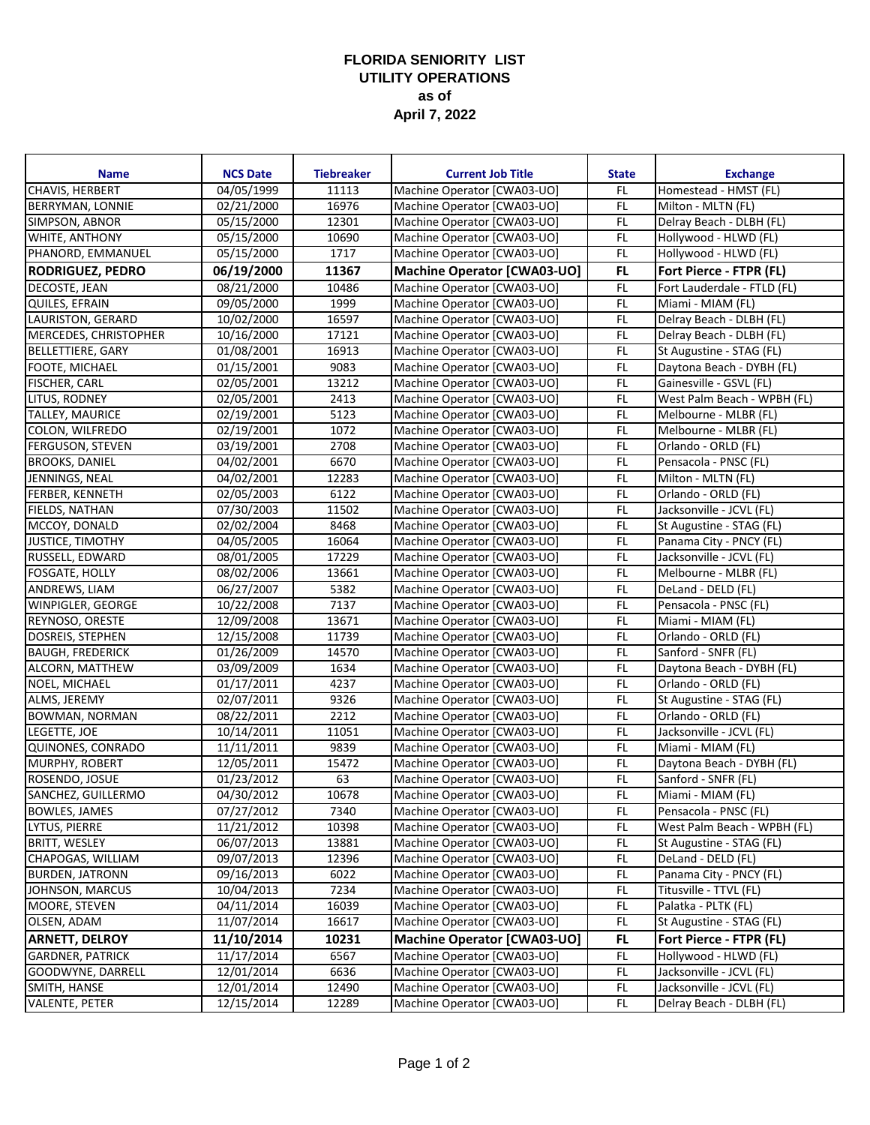## **FLORIDA SENIORITY LIST UTILITY OPERATIONS as of April 7, 2022**

| 04/05/1999<br>11113<br>Homestead - HMST (FL)<br>Machine Operator [CWA03-UO]<br>FL<br>16976<br>FL<br>02/21/2000<br>Machine Operator [CWA03-UO]<br>Milton - MLTN (FL)<br>12301<br>Machine Operator [CWA03-UO]<br>FL<br>05/15/2000<br>Delray Beach - DLBH (FL)<br>FL<br>10690<br>05/15/2000<br>Machine Operator [CWA03-UO]<br>Hollywood - HLWD (FL)<br>FL.<br>1717<br>Machine Operator [CWA03-UO]<br>Hollywood - HLWD (FL)<br>05/15/2000<br>FL.<br>06/19/2000<br>11367<br>Fort Pierce - FTPR (FL)<br>Machine Operator [CWA03-UO]<br>F<br>DECOSTE, JEAN<br>08/21/2000<br>10486<br>Machine Operator [CWA03-UO]<br>Fort Lauderdale - FTLD (FL)<br>1999<br>QUILES, EFRAIN<br>09/05/2000<br>Machine Operator [CWA03-UO]<br>FL<br>Miami - MIAM (FL)<br>FL<br>16597<br>10/02/2000<br>Machine Operator [CWA03-UO]<br>Delray Beach - DLBH (FL)<br>17121<br>FL<br>MERCEDES, CHRISTOPHER<br>10/16/2000<br>Machine Operator [CWA03-UO]<br>Delray Beach - DLBH (FL)<br>16913<br>FL<br>01/08/2001<br>Machine Operator [CWA03-UO]<br><b>BELLETTIERE, GARY</b><br>St Augustine - STAG (FL)<br>FL<br>9083<br><b>FOOTE, MICHAEL</b><br>01/15/2001<br>Machine Operator [CWA03-UO]<br>Daytona Beach - DYBH (FL)<br>13212<br>FL<br><b>FISCHER, CARL</b><br>02/05/2001<br>Machine Operator [CWA03-UO]<br>Gainesville - GSVL (FL)<br>$\overline{0}$ 2/05/2001<br>2413<br>FL<br>LITUS, RODNEY<br>Machine Operator [CWA03-UO]<br>West Palm Beach - WPBH (FL)<br>5123<br>FL<br><b>TALLEY, MAURICE</b><br>02/19/2001<br>Machine Operator [CWA03-UO]<br>Melbourne - MLBR (FL)<br>FL<br>COLON, WILFREDO<br>02/19/2001<br>1072<br>Machine Operator [CWA03-UO]<br>Melbourne - MLBR (FL)<br>2708<br>FL<br><b>FERGUSON, STEVEN</b><br>03/19/2001<br>Machine Operator [CWA03-UO]<br>Orlando - ORLD (FL)<br>FL<br>6670<br><b>BROOKS, DANIEL</b><br>04/02/2001<br>Machine Operator [CWA03-UO]<br>Pensacola - PNSC (FL)<br>12283<br>FL<br>JENNINGS, NEAL<br>04/02/2001<br>Machine Operator [CWA03-UO]<br>Milton - MLTN (FL)<br>FL<br><b>FERBER, KENNETH</b><br>02/05/2003<br>6122<br>Orlando - ORLD (FL)<br>Machine Operator [CWA03-UO]<br>FIELDS, NATHAN<br>07/30/2003<br>11502<br>Machine Operator [CWA03-UO]<br>FL<br>Jacksonville - JCVL (FL)<br>8468<br>FL<br>MCCOY, DONALD<br>02/02/2004<br>Machine Operator [CWA03-UO]<br>St Augustine - STAG (FL)<br>16064<br>FL<br><b>JUSTICE, TIMOTHY</b><br>04/05/2005<br>Machine Operator [CWA03-UO]<br>Panama City - PNCY (FL)<br>17229<br>FL<br>RUSSELL, EDWARD<br>08/01/2005<br>Machine Operator [CWA03-UO]<br>Jacksonville - JCVL (FL)<br>FL<br><b>FOSGATE, HOLLY</b><br>13661<br>Machine Operator [CWA03-UO]<br>Melbourne - MLBR (FL)<br>08/02/2006<br>FL<br>ANDREWS, LIAM<br>5382<br>06/27/2007<br>Machine Operator [CWA03-UO]<br>DeLand - DELD (FL)<br>FL<br>WINPIGLER, GEORGE<br>7137<br>10/22/2008<br>Machine Operator [CWA03-UO]<br>Pensacola - PNSC (FL)<br>F<br>12/09/2008<br>13671<br>REYNOSO, ORESTE<br>Machine Operator [CWA03-UO]<br>Miami - MIAM (FL)<br>11739<br>FL<br><b>DOSREIS, STEPHEN</b><br>12/15/2008<br>Machine Operator [CWA03-UO]<br>Orlando - ORLD (FL)<br>14570<br>Machine Operator [CWA03-UO]<br>FL.<br>Sanford - SNFR (FL)<br><b>BAUGH, FREDERICK</b><br>01/26/2009<br>FL<br>ALCORN, MATTHEW<br>03/09/2009<br>1634<br>Machine Operator [CWA03-UO]<br>Daytona Beach - DYBH (FL)<br>F<br>4237<br>Orlando - ORLD (FL)<br>NOEL, MICHAEL<br>01/17/2011<br>Machine Operator [CWA03-UO]<br>9326<br>FL.<br>ALMS, JEREMY<br>02/07/2011<br>St Augustine - STAG (FL)<br>Machine Operator [CWA03-UO]<br>FL<br>2212<br>Orlando - ORLD (FL)<br><b>BOWMAN, NORMAN</b><br>08/22/2011<br>Machine Operator [CWA03-UO]<br>FL<br>LEGETTE, JOE<br>11051<br>Machine Operator [CWA03-UO]<br>Jacksonville - JCVL (FL)<br>10/14/2011<br>9839<br>FL.<br>QUINONES, CONRADO<br>11/11/2011<br>Machine Operator [CWA03-UO]<br>Miami - MIAM (FL)<br>15472<br>FL.<br>Daytona Beach - DYBH (FL)<br>MURPHY, ROBERT<br>12/05/2011<br>Machine Operator [CWA03-UO]<br>FL<br>01/23/2012<br>63<br>Machine Operator [CWA03-UO]<br>ROSENDO, JOSUE<br>Sanford - SNFR (FL)<br>Miami - MIAM (FL)<br>04/30/2012<br>10678<br>SANCHEZ, GUILLERMO<br>Machine Operator [CWA03-UO]<br>FL<br><b>BOWLES, JAMES</b><br>07/27/2012<br>7340<br>Machine Operator [CWA03-UO]<br>FL<br>Pensacola - PNSC (FL)<br>LYTUS, PIERRE<br>FL.<br>11/21/2012<br>10398<br>Machine Operator [CWA03-UO]<br>West Palm Beach - WPBH (FL)<br><b>BRITT, WESLEY</b><br>FL.<br>06/07/2013<br>13881<br>Machine Operator [CWA03-UO]<br>St Augustine - STAG (FL)<br>CHAPOGAS, WILLIAM<br>Machine Operator [CWA03-UO]<br>FL.<br>09/07/2013<br>12396<br>DeLand - DELD (FL)<br>6022<br>Machine Operator [CWA03-UO]<br>FL.<br>Panama City - PNCY (FL)<br><b>BURDEN, JATRONN</b><br>09/16/2013<br>FL<br>7234<br>Machine Operator [CWA03-UO]<br>Titusville - TTVL (FL)<br>10/04/2013<br>Machine Operator [CWA03-UO]<br>$\mathsf{FL}$<br>04/11/2014<br>16039<br>Palatka - PLTK (FL)<br>Machine Operator [CWA03-UO]<br>$\mathsf{FL}$<br>11/07/2014<br>16617<br>St Augustine - STAG (FL)<br>10231<br>Machine Operator [CWA03-UO]<br>FL.<br>11/10/2014<br>Fort Pierce - FTPR (FL)<br>11/17/2014<br>6567<br>Machine Operator [CWA03-UO]<br>$\mathsf{FL}$<br>Hollywood - HLWD (FL)<br>FL<br>12/01/2014<br>Machine Operator [CWA03-UO]<br>Jacksonville - JCVL (FL)<br>6636<br>F<br>Machine Operator [CWA03-UO]<br>Jacksonville - JCVL (FL)<br>12/01/2014<br>12490<br>FL.<br>12/15/2014<br>12289<br>Machine Operator [CWA03-UO]<br>Delray Beach - DLBH (FL) | <b>Name</b>              | <b>NCS Date</b> | <b>Tiebreaker</b> | <b>Current Job Title</b> | <b>State</b> | <b>Exchange</b> |
|---------------------------------------------------------------------------------------------------------------------------------------------------------------------------------------------------------------------------------------------------------------------------------------------------------------------------------------------------------------------------------------------------------------------------------------------------------------------------------------------------------------------------------------------------------------------------------------------------------------------------------------------------------------------------------------------------------------------------------------------------------------------------------------------------------------------------------------------------------------------------------------------------------------------------------------------------------------------------------------------------------------------------------------------------------------------------------------------------------------------------------------------------------------------------------------------------------------------------------------------------------------------------------------------------------------------------------------------------------------------------------------------------------------------------------------------------------------------------------------------------------------------------------------------------------------------------------------------------------------------------------------------------------------------------------------------------------------------------------------------------------------------------------------------------------------------------------------------------------------------------------------------------------------------------------------------------------------------------------------------------------------------------------------------------------------------------------------------------------------------------------------------------------------------------------------------------------------------------------------------------------------------------------------------------------------------------------------------------------------------------------------------------------------------------------------------------------------------------------------------------------------------------------------------------------------------------------------------------------------------------------------------------------------------------------------------------------------------------------------------------------------------------------------------------------------------------------------------------------------------------------------------------------------------------------------------------------------------------------------------------------------------------------------------------------------------------------------------------------------------------------------------------------------------------------------------------------------------------------------------------------------------------------------------------------------------------------------------------------------------------------------------------------------------------------------------------------------------------------------------------------------------------------------------------------------------------------------------------------------------------------------------------------------------------------------------------------------------------------------------------------------------------------------------------------------------------------------------------------------------------------------------------------------------------------------------------------------------------------------------------------------------------------------------------------------------------------------------------------------------------------------------------------------------------------------------------------------------------------------------------------------------------------------------------------------------------------------------------------------------------------------------------------------------------------------------------------------------------------------------------------------------------------------------------------------------------------------------------------------------------------------------------------------------------------------------------------------------------------------------------------------------------------------------------------------------------------------------------------------------------------------------------------------------------------------------------------------------------------------------------------------------------------------------------------------------------------------------------------------------------------------------------------------------------------------------------------------------------------------------------------------------------------------------------------------------------------------------------------------------------------------------------------------------------------------------------------------------------------------------------|--------------------------|-----------------|-------------------|--------------------------|--------------|-----------------|
|                                                                                                                                                                                                                                                                                                                                                                                                                                                                                                                                                                                                                                                                                                                                                                                                                                                                                                                                                                                                                                                                                                                                                                                                                                                                                                                                                                                                                                                                                                                                                                                                                                                                                                                                                                                                                                                                                                                                                                                                                                                                                                                                                                                                                                                                                                                                                                                                                                                                                                                                                                                                                                                                                                                                                                                                                                                                                                                                                                                                                                                                                                                                                                                                                                                                                                                                                                                                                                                                                                                                                                                                                                                                                                                                                                                                                                                                                                                                                                                                                                                                                                                                                                                                                                                                                                                                                                                                                                                                                                                                                                                                                                                                                                                                                                                                                                                                                                                                                                                                                                                                                                                                                                                                                                                                                                                                                                                                                                                                                                   | <b>CHAVIS, HERBERT</b>   |                 |                   |                          |              |                 |
|                                                                                                                                                                                                                                                                                                                                                                                                                                                                                                                                                                                                                                                                                                                                                                                                                                                                                                                                                                                                                                                                                                                                                                                                                                                                                                                                                                                                                                                                                                                                                                                                                                                                                                                                                                                                                                                                                                                                                                                                                                                                                                                                                                                                                                                                                                                                                                                                                                                                                                                                                                                                                                                                                                                                                                                                                                                                                                                                                                                                                                                                                                                                                                                                                                                                                                                                                                                                                                                                                                                                                                                                                                                                                                                                                                                                                                                                                                                                                                                                                                                                                                                                                                                                                                                                                                                                                                                                                                                                                                                                                                                                                                                                                                                                                                                                                                                                                                                                                                                                                                                                                                                                                                                                                                                                                                                                                                                                                                                                                                   | <b>BERRYMAN, LONNIE</b>  |                 |                   |                          |              |                 |
|                                                                                                                                                                                                                                                                                                                                                                                                                                                                                                                                                                                                                                                                                                                                                                                                                                                                                                                                                                                                                                                                                                                                                                                                                                                                                                                                                                                                                                                                                                                                                                                                                                                                                                                                                                                                                                                                                                                                                                                                                                                                                                                                                                                                                                                                                                                                                                                                                                                                                                                                                                                                                                                                                                                                                                                                                                                                                                                                                                                                                                                                                                                                                                                                                                                                                                                                                                                                                                                                                                                                                                                                                                                                                                                                                                                                                                                                                                                                                                                                                                                                                                                                                                                                                                                                                                                                                                                                                                                                                                                                                                                                                                                                                                                                                                                                                                                                                                                                                                                                                                                                                                                                                                                                                                                                                                                                                                                                                                                                                                   | SIMPSON, ABNOR           |                 |                   |                          |              |                 |
|                                                                                                                                                                                                                                                                                                                                                                                                                                                                                                                                                                                                                                                                                                                                                                                                                                                                                                                                                                                                                                                                                                                                                                                                                                                                                                                                                                                                                                                                                                                                                                                                                                                                                                                                                                                                                                                                                                                                                                                                                                                                                                                                                                                                                                                                                                                                                                                                                                                                                                                                                                                                                                                                                                                                                                                                                                                                                                                                                                                                                                                                                                                                                                                                                                                                                                                                                                                                                                                                                                                                                                                                                                                                                                                                                                                                                                                                                                                                                                                                                                                                                                                                                                                                                                                                                                                                                                                                                                                                                                                                                                                                                                                                                                                                                                                                                                                                                                                                                                                                                                                                                                                                                                                                                                                                                                                                                                                                                                                                                                   | WHITE, ANTHONY           |                 |                   |                          |              |                 |
|                                                                                                                                                                                                                                                                                                                                                                                                                                                                                                                                                                                                                                                                                                                                                                                                                                                                                                                                                                                                                                                                                                                                                                                                                                                                                                                                                                                                                                                                                                                                                                                                                                                                                                                                                                                                                                                                                                                                                                                                                                                                                                                                                                                                                                                                                                                                                                                                                                                                                                                                                                                                                                                                                                                                                                                                                                                                                                                                                                                                                                                                                                                                                                                                                                                                                                                                                                                                                                                                                                                                                                                                                                                                                                                                                                                                                                                                                                                                                                                                                                                                                                                                                                                                                                                                                                                                                                                                                                                                                                                                                                                                                                                                                                                                                                                                                                                                                                                                                                                                                                                                                                                                                                                                                                                                                                                                                                                                                                                                                                   | PHANORD, EMMANUEL        |                 |                   |                          |              |                 |
|                                                                                                                                                                                                                                                                                                                                                                                                                                                                                                                                                                                                                                                                                                                                                                                                                                                                                                                                                                                                                                                                                                                                                                                                                                                                                                                                                                                                                                                                                                                                                                                                                                                                                                                                                                                                                                                                                                                                                                                                                                                                                                                                                                                                                                                                                                                                                                                                                                                                                                                                                                                                                                                                                                                                                                                                                                                                                                                                                                                                                                                                                                                                                                                                                                                                                                                                                                                                                                                                                                                                                                                                                                                                                                                                                                                                                                                                                                                                                                                                                                                                                                                                                                                                                                                                                                                                                                                                                                                                                                                                                                                                                                                                                                                                                                                                                                                                                                                                                                                                                                                                                                                                                                                                                                                                                                                                                                                                                                                                                                   | <b>RODRIGUEZ, PEDRO</b>  |                 |                   |                          |              |                 |
|                                                                                                                                                                                                                                                                                                                                                                                                                                                                                                                                                                                                                                                                                                                                                                                                                                                                                                                                                                                                                                                                                                                                                                                                                                                                                                                                                                                                                                                                                                                                                                                                                                                                                                                                                                                                                                                                                                                                                                                                                                                                                                                                                                                                                                                                                                                                                                                                                                                                                                                                                                                                                                                                                                                                                                                                                                                                                                                                                                                                                                                                                                                                                                                                                                                                                                                                                                                                                                                                                                                                                                                                                                                                                                                                                                                                                                                                                                                                                                                                                                                                                                                                                                                                                                                                                                                                                                                                                                                                                                                                                                                                                                                                                                                                                                                                                                                                                                                                                                                                                                                                                                                                                                                                                                                                                                                                                                                                                                                                                                   |                          |                 |                   |                          |              |                 |
|                                                                                                                                                                                                                                                                                                                                                                                                                                                                                                                                                                                                                                                                                                                                                                                                                                                                                                                                                                                                                                                                                                                                                                                                                                                                                                                                                                                                                                                                                                                                                                                                                                                                                                                                                                                                                                                                                                                                                                                                                                                                                                                                                                                                                                                                                                                                                                                                                                                                                                                                                                                                                                                                                                                                                                                                                                                                                                                                                                                                                                                                                                                                                                                                                                                                                                                                                                                                                                                                                                                                                                                                                                                                                                                                                                                                                                                                                                                                                                                                                                                                                                                                                                                                                                                                                                                                                                                                                                                                                                                                                                                                                                                                                                                                                                                                                                                                                                                                                                                                                                                                                                                                                                                                                                                                                                                                                                                                                                                                                                   |                          |                 |                   |                          |              |                 |
|                                                                                                                                                                                                                                                                                                                                                                                                                                                                                                                                                                                                                                                                                                                                                                                                                                                                                                                                                                                                                                                                                                                                                                                                                                                                                                                                                                                                                                                                                                                                                                                                                                                                                                                                                                                                                                                                                                                                                                                                                                                                                                                                                                                                                                                                                                                                                                                                                                                                                                                                                                                                                                                                                                                                                                                                                                                                                                                                                                                                                                                                                                                                                                                                                                                                                                                                                                                                                                                                                                                                                                                                                                                                                                                                                                                                                                                                                                                                                                                                                                                                                                                                                                                                                                                                                                                                                                                                                                                                                                                                                                                                                                                                                                                                                                                                                                                                                                                                                                                                                                                                                                                                                                                                                                                                                                                                                                                                                                                                                                   | <b>LAURISTON, GERARD</b> |                 |                   |                          |              |                 |
|                                                                                                                                                                                                                                                                                                                                                                                                                                                                                                                                                                                                                                                                                                                                                                                                                                                                                                                                                                                                                                                                                                                                                                                                                                                                                                                                                                                                                                                                                                                                                                                                                                                                                                                                                                                                                                                                                                                                                                                                                                                                                                                                                                                                                                                                                                                                                                                                                                                                                                                                                                                                                                                                                                                                                                                                                                                                                                                                                                                                                                                                                                                                                                                                                                                                                                                                                                                                                                                                                                                                                                                                                                                                                                                                                                                                                                                                                                                                                                                                                                                                                                                                                                                                                                                                                                                                                                                                                                                                                                                                                                                                                                                                                                                                                                                                                                                                                                                                                                                                                                                                                                                                                                                                                                                                                                                                                                                                                                                                                                   |                          |                 |                   |                          |              |                 |
|                                                                                                                                                                                                                                                                                                                                                                                                                                                                                                                                                                                                                                                                                                                                                                                                                                                                                                                                                                                                                                                                                                                                                                                                                                                                                                                                                                                                                                                                                                                                                                                                                                                                                                                                                                                                                                                                                                                                                                                                                                                                                                                                                                                                                                                                                                                                                                                                                                                                                                                                                                                                                                                                                                                                                                                                                                                                                                                                                                                                                                                                                                                                                                                                                                                                                                                                                                                                                                                                                                                                                                                                                                                                                                                                                                                                                                                                                                                                                                                                                                                                                                                                                                                                                                                                                                                                                                                                                                                                                                                                                                                                                                                                                                                                                                                                                                                                                                                                                                                                                                                                                                                                                                                                                                                                                                                                                                                                                                                                                                   |                          |                 |                   |                          |              |                 |
|                                                                                                                                                                                                                                                                                                                                                                                                                                                                                                                                                                                                                                                                                                                                                                                                                                                                                                                                                                                                                                                                                                                                                                                                                                                                                                                                                                                                                                                                                                                                                                                                                                                                                                                                                                                                                                                                                                                                                                                                                                                                                                                                                                                                                                                                                                                                                                                                                                                                                                                                                                                                                                                                                                                                                                                                                                                                                                                                                                                                                                                                                                                                                                                                                                                                                                                                                                                                                                                                                                                                                                                                                                                                                                                                                                                                                                                                                                                                                                                                                                                                                                                                                                                                                                                                                                                                                                                                                                                                                                                                                                                                                                                                                                                                                                                                                                                                                                                                                                                                                                                                                                                                                                                                                                                                                                                                                                                                                                                                                                   |                          |                 |                   |                          |              |                 |
|                                                                                                                                                                                                                                                                                                                                                                                                                                                                                                                                                                                                                                                                                                                                                                                                                                                                                                                                                                                                                                                                                                                                                                                                                                                                                                                                                                                                                                                                                                                                                                                                                                                                                                                                                                                                                                                                                                                                                                                                                                                                                                                                                                                                                                                                                                                                                                                                                                                                                                                                                                                                                                                                                                                                                                                                                                                                                                                                                                                                                                                                                                                                                                                                                                                                                                                                                                                                                                                                                                                                                                                                                                                                                                                                                                                                                                                                                                                                                                                                                                                                                                                                                                                                                                                                                                                                                                                                                                                                                                                                                                                                                                                                                                                                                                                                                                                                                                                                                                                                                                                                                                                                                                                                                                                                                                                                                                                                                                                                                                   |                          |                 |                   |                          |              |                 |
|                                                                                                                                                                                                                                                                                                                                                                                                                                                                                                                                                                                                                                                                                                                                                                                                                                                                                                                                                                                                                                                                                                                                                                                                                                                                                                                                                                                                                                                                                                                                                                                                                                                                                                                                                                                                                                                                                                                                                                                                                                                                                                                                                                                                                                                                                                                                                                                                                                                                                                                                                                                                                                                                                                                                                                                                                                                                                                                                                                                                                                                                                                                                                                                                                                                                                                                                                                                                                                                                                                                                                                                                                                                                                                                                                                                                                                                                                                                                                                                                                                                                                                                                                                                                                                                                                                                                                                                                                                                                                                                                                                                                                                                                                                                                                                                                                                                                                                                                                                                                                                                                                                                                                                                                                                                                                                                                                                                                                                                                                                   |                          |                 |                   |                          |              |                 |
|                                                                                                                                                                                                                                                                                                                                                                                                                                                                                                                                                                                                                                                                                                                                                                                                                                                                                                                                                                                                                                                                                                                                                                                                                                                                                                                                                                                                                                                                                                                                                                                                                                                                                                                                                                                                                                                                                                                                                                                                                                                                                                                                                                                                                                                                                                                                                                                                                                                                                                                                                                                                                                                                                                                                                                                                                                                                                                                                                                                                                                                                                                                                                                                                                                                                                                                                                                                                                                                                                                                                                                                                                                                                                                                                                                                                                                                                                                                                                                                                                                                                                                                                                                                                                                                                                                                                                                                                                                                                                                                                                                                                                                                                                                                                                                                                                                                                                                                                                                                                                                                                                                                                                                                                                                                                                                                                                                                                                                                                                                   |                          |                 |                   |                          |              |                 |
|                                                                                                                                                                                                                                                                                                                                                                                                                                                                                                                                                                                                                                                                                                                                                                                                                                                                                                                                                                                                                                                                                                                                                                                                                                                                                                                                                                                                                                                                                                                                                                                                                                                                                                                                                                                                                                                                                                                                                                                                                                                                                                                                                                                                                                                                                                                                                                                                                                                                                                                                                                                                                                                                                                                                                                                                                                                                                                                                                                                                                                                                                                                                                                                                                                                                                                                                                                                                                                                                                                                                                                                                                                                                                                                                                                                                                                                                                                                                                                                                                                                                                                                                                                                                                                                                                                                                                                                                                                                                                                                                                                                                                                                                                                                                                                                                                                                                                                                                                                                                                                                                                                                                                                                                                                                                                                                                                                                                                                                                                                   |                          |                 |                   |                          |              |                 |
|                                                                                                                                                                                                                                                                                                                                                                                                                                                                                                                                                                                                                                                                                                                                                                                                                                                                                                                                                                                                                                                                                                                                                                                                                                                                                                                                                                                                                                                                                                                                                                                                                                                                                                                                                                                                                                                                                                                                                                                                                                                                                                                                                                                                                                                                                                                                                                                                                                                                                                                                                                                                                                                                                                                                                                                                                                                                                                                                                                                                                                                                                                                                                                                                                                                                                                                                                                                                                                                                                                                                                                                                                                                                                                                                                                                                                                                                                                                                                                                                                                                                                                                                                                                                                                                                                                                                                                                                                                                                                                                                                                                                                                                                                                                                                                                                                                                                                                                                                                                                                                                                                                                                                                                                                                                                                                                                                                                                                                                                                                   |                          |                 |                   |                          |              |                 |
|                                                                                                                                                                                                                                                                                                                                                                                                                                                                                                                                                                                                                                                                                                                                                                                                                                                                                                                                                                                                                                                                                                                                                                                                                                                                                                                                                                                                                                                                                                                                                                                                                                                                                                                                                                                                                                                                                                                                                                                                                                                                                                                                                                                                                                                                                                                                                                                                                                                                                                                                                                                                                                                                                                                                                                                                                                                                                                                                                                                                                                                                                                                                                                                                                                                                                                                                                                                                                                                                                                                                                                                                                                                                                                                                                                                                                                                                                                                                                                                                                                                                                                                                                                                                                                                                                                                                                                                                                                                                                                                                                                                                                                                                                                                                                                                                                                                                                                                                                                                                                                                                                                                                                                                                                                                                                                                                                                                                                                                                                                   |                          |                 |                   |                          |              |                 |
|                                                                                                                                                                                                                                                                                                                                                                                                                                                                                                                                                                                                                                                                                                                                                                                                                                                                                                                                                                                                                                                                                                                                                                                                                                                                                                                                                                                                                                                                                                                                                                                                                                                                                                                                                                                                                                                                                                                                                                                                                                                                                                                                                                                                                                                                                                                                                                                                                                                                                                                                                                                                                                                                                                                                                                                                                                                                                                                                                                                                                                                                                                                                                                                                                                                                                                                                                                                                                                                                                                                                                                                                                                                                                                                                                                                                                                                                                                                                                                                                                                                                                                                                                                                                                                                                                                                                                                                                                                                                                                                                                                                                                                                                                                                                                                                                                                                                                                                                                                                                                                                                                                                                                                                                                                                                                                                                                                                                                                                                                                   |                          |                 |                   |                          |              |                 |
|                                                                                                                                                                                                                                                                                                                                                                                                                                                                                                                                                                                                                                                                                                                                                                                                                                                                                                                                                                                                                                                                                                                                                                                                                                                                                                                                                                                                                                                                                                                                                                                                                                                                                                                                                                                                                                                                                                                                                                                                                                                                                                                                                                                                                                                                                                                                                                                                                                                                                                                                                                                                                                                                                                                                                                                                                                                                                                                                                                                                                                                                                                                                                                                                                                                                                                                                                                                                                                                                                                                                                                                                                                                                                                                                                                                                                                                                                                                                                                                                                                                                                                                                                                                                                                                                                                                                                                                                                                                                                                                                                                                                                                                                                                                                                                                                                                                                                                                                                                                                                                                                                                                                                                                                                                                                                                                                                                                                                                                                                                   |                          |                 |                   |                          |              |                 |
|                                                                                                                                                                                                                                                                                                                                                                                                                                                                                                                                                                                                                                                                                                                                                                                                                                                                                                                                                                                                                                                                                                                                                                                                                                                                                                                                                                                                                                                                                                                                                                                                                                                                                                                                                                                                                                                                                                                                                                                                                                                                                                                                                                                                                                                                                                                                                                                                                                                                                                                                                                                                                                                                                                                                                                                                                                                                                                                                                                                                                                                                                                                                                                                                                                                                                                                                                                                                                                                                                                                                                                                                                                                                                                                                                                                                                                                                                                                                                                                                                                                                                                                                                                                                                                                                                                                                                                                                                                                                                                                                                                                                                                                                                                                                                                                                                                                                                                                                                                                                                                                                                                                                                                                                                                                                                                                                                                                                                                                                                                   |                          |                 |                   |                          |              |                 |
|                                                                                                                                                                                                                                                                                                                                                                                                                                                                                                                                                                                                                                                                                                                                                                                                                                                                                                                                                                                                                                                                                                                                                                                                                                                                                                                                                                                                                                                                                                                                                                                                                                                                                                                                                                                                                                                                                                                                                                                                                                                                                                                                                                                                                                                                                                                                                                                                                                                                                                                                                                                                                                                                                                                                                                                                                                                                                                                                                                                                                                                                                                                                                                                                                                                                                                                                                                                                                                                                                                                                                                                                                                                                                                                                                                                                                                                                                                                                                                                                                                                                                                                                                                                                                                                                                                                                                                                                                                                                                                                                                                                                                                                                                                                                                                                                                                                                                                                                                                                                                                                                                                                                                                                                                                                                                                                                                                                                                                                                                                   |                          |                 |                   |                          |              |                 |
|                                                                                                                                                                                                                                                                                                                                                                                                                                                                                                                                                                                                                                                                                                                                                                                                                                                                                                                                                                                                                                                                                                                                                                                                                                                                                                                                                                                                                                                                                                                                                                                                                                                                                                                                                                                                                                                                                                                                                                                                                                                                                                                                                                                                                                                                                                                                                                                                                                                                                                                                                                                                                                                                                                                                                                                                                                                                                                                                                                                                                                                                                                                                                                                                                                                                                                                                                                                                                                                                                                                                                                                                                                                                                                                                                                                                                                                                                                                                                                                                                                                                                                                                                                                                                                                                                                                                                                                                                                                                                                                                                                                                                                                                                                                                                                                                                                                                                                                                                                                                                                                                                                                                                                                                                                                                                                                                                                                                                                                                                                   |                          |                 |                   |                          |              |                 |
|                                                                                                                                                                                                                                                                                                                                                                                                                                                                                                                                                                                                                                                                                                                                                                                                                                                                                                                                                                                                                                                                                                                                                                                                                                                                                                                                                                                                                                                                                                                                                                                                                                                                                                                                                                                                                                                                                                                                                                                                                                                                                                                                                                                                                                                                                                                                                                                                                                                                                                                                                                                                                                                                                                                                                                                                                                                                                                                                                                                                                                                                                                                                                                                                                                                                                                                                                                                                                                                                                                                                                                                                                                                                                                                                                                                                                                                                                                                                                                                                                                                                                                                                                                                                                                                                                                                                                                                                                                                                                                                                                                                                                                                                                                                                                                                                                                                                                                                                                                                                                                                                                                                                                                                                                                                                                                                                                                                                                                                                                                   |                          |                 |                   |                          |              |                 |
|                                                                                                                                                                                                                                                                                                                                                                                                                                                                                                                                                                                                                                                                                                                                                                                                                                                                                                                                                                                                                                                                                                                                                                                                                                                                                                                                                                                                                                                                                                                                                                                                                                                                                                                                                                                                                                                                                                                                                                                                                                                                                                                                                                                                                                                                                                                                                                                                                                                                                                                                                                                                                                                                                                                                                                                                                                                                                                                                                                                                                                                                                                                                                                                                                                                                                                                                                                                                                                                                                                                                                                                                                                                                                                                                                                                                                                                                                                                                                                                                                                                                                                                                                                                                                                                                                                                                                                                                                                                                                                                                                                                                                                                                                                                                                                                                                                                                                                                                                                                                                                                                                                                                                                                                                                                                                                                                                                                                                                                                                                   |                          |                 |                   |                          |              |                 |
|                                                                                                                                                                                                                                                                                                                                                                                                                                                                                                                                                                                                                                                                                                                                                                                                                                                                                                                                                                                                                                                                                                                                                                                                                                                                                                                                                                                                                                                                                                                                                                                                                                                                                                                                                                                                                                                                                                                                                                                                                                                                                                                                                                                                                                                                                                                                                                                                                                                                                                                                                                                                                                                                                                                                                                                                                                                                                                                                                                                                                                                                                                                                                                                                                                                                                                                                                                                                                                                                                                                                                                                                                                                                                                                                                                                                                                                                                                                                                                                                                                                                                                                                                                                                                                                                                                                                                                                                                                                                                                                                                                                                                                                                                                                                                                                                                                                                                                                                                                                                                                                                                                                                                                                                                                                                                                                                                                                                                                                                                                   |                          |                 |                   |                          |              |                 |
|                                                                                                                                                                                                                                                                                                                                                                                                                                                                                                                                                                                                                                                                                                                                                                                                                                                                                                                                                                                                                                                                                                                                                                                                                                                                                                                                                                                                                                                                                                                                                                                                                                                                                                                                                                                                                                                                                                                                                                                                                                                                                                                                                                                                                                                                                                                                                                                                                                                                                                                                                                                                                                                                                                                                                                                                                                                                                                                                                                                                                                                                                                                                                                                                                                                                                                                                                                                                                                                                                                                                                                                                                                                                                                                                                                                                                                                                                                                                                                                                                                                                                                                                                                                                                                                                                                                                                                                                                                                                                                                                                                                                                                                                                                                                                                                                                                                                                                                                                                                                                                                                                                                                                                                                                                                                                                                                                                                                                                                                                                   |                          |                 |                   |                          |              |                 |
|                                                                                                                                                                                                                                                                                                                                                                                                                                                                                                                                                                                                                                                                                                                                                                                                                                                                                                                                                                                                                                                                                                                                                                                                                                                                                                                                                                                                                                                                                                                                                                                                                                                                                                                                                                                                                                                                                                                                                                                                                                                                                                                                                                                                                                                                                                                                                                                                                                                                                                                                                                                                                                                                                                                                                                                                                                                                                                                                                                                                                                                                                                                                                                                                                                                                                                                                                                                                                                                                                                                                                                                                                                                                                                                                                                                                                                                                                                                                                                                                                                                                                                                                                                                                                                                                                                                                                                                                                                                                                                                                                                                                                                                                                                                                                                                                                                                                                                                                                                                                                                                                                                                                                                                                                                                                                                                                                                                                                                                                                                   |                          |                 |                   |                          |              |                 |
|                                                                                                                                                                                                                                                                                                                                                                                                                                                                                                                                                                                                                                                                                                                                                                                                                                                                                                                                                                                                                                                                                                                                                                                                                                                                                                                                                                                                                                                                                                                                                                                                                                                                                                                                                                                                                                                                                                                                                                                                                                                                                                                                                                                                                                                                                                                                                                                                                                                                                                                                                                                                                                                                                                                                                                                                                                                                                                                                                                                                                                                                                                                                                                                                                                                                                                                                                                                                                                                                                                                                                                                                                                                                                                                                                                                                                                                                                                                                                                                                                                                                                                                                                                                                                                                                                                                                                                                                                                                                                                                                                                                                                                                                                                                                                                                                                                                                                                                                                                                                                                                                                                                                                                                                                                                                                                                                                                                                                                                                                                   |                          |                 |                   |                          |              |                 |
|                                                                                                                                                                                                                                                                                                                                                                                                                                                                                                                                                                                                                                                                                                                                                                                                                                                                                                                                                                                                                                                                                                                                                                                                                                                                                                                                                                                                                                                                                                                                                                                                                                                                                                                                                                                                                                                                                                                                                                                                                                                                                                                                                                                                                                                                                                                                                                                                                                                                                                                                                                                                                                                                                                                                                                                                                                                                                                                                                                                                                                                                                                                                                                                                                                                                                                                                                                                                                                                                                                                                                                                                                                                                                                                                                                                                                                                                                                                                                                                                                                                                                                                                                                                                                                                                                                                                                                                                                                                                                                                                                                                                                                                                                                                                                                                                                                                                                                                                                                                                                                                                                                                                                                                                                                                                                                                                                                                                                                                                                                   |                          |                 |                   |                          |              |                 |
|                                                                                                                                                                                                                                                                                                                                                                                                                                                                                                                                                                                                                                                                                                                                                                                                                                                                                                                                                                                                                                                                                                                                                                                                                                                                                                                                                                                                                                                                                                                                                                                                                                                                                                                                                                                                                                                                                                                                                                                                                                                                                                                                                                                                                                                                                                                                                                                                                                                                                                                                                                                                                                                                                                                                                                                                                                                                                                                                                                                                                                                                                                                                                                                                                                                                                                                                                                                                                                                                                                                                                                                                                                                                                                                                                                                                                                                                                                                                                                                                                                                                                                                                                                                                                                                                                                                                                                                                                                                                                                                                                                                                                                                                                                                                                                                                                                                                                                                                                                                                                                                                                                                                                                                                                                                                                                                                                                                                                                                                                                   |                          |                 |                   |                          |              |                 |
|                                                                                                                                                                                                                                                                                                                                                                                                                                                                                                                                                                                                                                                                                                                                                                                                                                                                                                                                                                                                                                                                                                                                                                                                                                                                                                                                                                                                                                                                                                                                                                                                                                                                                                                                                                                                                                                                                                                                                                                                                                                                                                                                                                                                                                                                                                                                                                                                                                                                                                                                                                                                                                                                                                                                                                                                                                                                                                                                                                                                                                                                                                                                                                                                                                                                                                                                                                                                                                                                                                                                                                                                                                                                                                                                                                                                                                                                                                                                                                                                                                                                                                                                                                                                                                                                                                                                                                                                                                                                                                                                                                                                                                                                                                                                                                                                                                                                                                                                                                                                                                                                                                                                                                                                                                                                                                                                                                                                                                                                                                   |                          |                 |                   |                          |              |                 |
|                                                                                                                                                                                                                                                                                                                                                                                                                                                                                                                                                                                                                                                                                                                                                                                                                                                                                                                                                                                                                                                                                                                                                                                                                                                                                                                                                                                                                                                                                                                                                                                                                                                                                                                                                                                                                                                                                                                                                                                                                                                                                                                                                                                                                                                                                                                                                                                                                                                                                                                                                                                                                                                                                                                                                                                                                                                                                                                                                                                                                                                                                                                                                                                                                                                                                                                                                                                                                                                                                                                                                                                                                                                                                                                                                                                                                                                                                                                                                                                                                                                                                                                                                                                                                                                                                                                                                                                                                                                                                                                                                                                                                                                                                                                                                                                                                                                                                                                                                                                                                                                                                                                                                                                                                                                                                                                                                                                                                                                                                                   |                          |                 |                   |                          |              |                 |
|                                                                                                                                                                                                                                                                                                                                                                                                                                                                                                                                                                                                                                                                                                                                                                                                                                                                                                                                                                                                                                                                                                                                                                                                                                                                                                                                                                                                                                                                                                                                                                                                                                                                                                                                                                                                                                                                                                                                                                                                                                                                                                                                                                                                                                                                                                                                                                                                                                                                                                                                                                                                                                                                                                                                                                                                                                                                                                                                                                                                                                                                                                                                                                                                                                                                                                                                                                                                                                                                                                                                                                                                                                                                                                                                                                                                                                                                                                                                                                                                                                                                                                                                                                                                                                                                                                                                                                                                                                                                                                                                                                                                                                                                                                                                                                                                                                                                                                                                                                                                                                                                                                                                                                                                                                                                                                                                                                                                                                                                                                   |                          |                 |                   |                          |              |                 |
|                                                                                                                                                                                                                                                                                                                                                                                                                                                                                                                                                                                                                                                                                                                                                                                                                                                                                                                                                                                                                                                                                                                                                                                                                                                                                                                                                                                                                                                                                                                                                                                                                                                                                                                                                                                                                                                                                                                                                                                                                                                                                                                                                                                                                                                                                                                                                                                                                                                                                                                                                                                                                                                                                                                                                                                                                                                                                                                                                                                                                                                                                                                                                                                                                                                                                                                                                                                                                                                                                                                                                                                                                                                                                                                                                                                                                                                                                                                                                                                                                                                                                                                                                                                                                                                                                                                                                                                                                                                                                                                                                                                                                                                                                                                                                                                                                                                                                                                                                                                                                                                                                                                                                                                                                                                                                                                                                                                                                                                                                                   |                          |                 |                   |                          |              |                 |
|                                                                                                                                                                                                                                                                                                                                                                                                                                                                                                                                                                                                                                                                                                                                                                                                                                                                                                                                                                                                                                                                                                                                                                                                                                                                                                                                                                                                                                                                                                                                                                                                                                                                                                                                                                                                                                                                                                                                                                                                                                                                                                                                                                                                                                                                                                                                                                                                                                                                                                                                                                                                                                                                                                                                                                                                                                                                                                                                                                                                                                                                                                                                                                                                                                                                                                                                                                                                                                                                                                                                                                                                                                                                                                                                                                                                                                                                                                                                                                                                                                                                                                                                                                                                                                                                                                                                                                                                                                                                                                                                                                                                                                                                                                                                                                                                                                                                                                                                                                                                                                                                                                                                                                                                                                                                                                                                                                                                                                                                                                   |                          |                 |                   |                          |              |                 |
|                                                                                                                                                                                                                                                                                                                                                                                                                                                                                                                                                                                                                                                                                                                                                                                                                                                                                                                                                                                                                                                                                                                                                                                                                                                                                                                                                                                                                                                                                                                                                                                                                                                                                                                                                                                                                                                                                                                                                                                                                                                                                                                                                                                                                                                                                                                                                                                                                                                                                                                                                                                                                                                                                                                                                                                                                                                                                                                                                                                                                                                                                                                                                                                                                                                                                                                                                                                                                                                                                                                                                                                                                                                                                                                                                                                                                                                                                                                                                                                                                                                                                                                                                                                                                                                                                                                                                                                                                                                                                                                                                                                                                                                                                                                                                                                                                                                                                                                                                                                                                                                                                                                                                                                                                                                                                                                                                                                                                                                                                                   |                          |                 |                   |                          |              |                 |
|                                                                                                                                                                                                                                                                                                                                                                                                                                                                                                                                                                                                                                                                                                                                                                                                                                                                                                                                                                                                                                                                                                                                                                                                                                                                                                                                                                                                                                                                                                                                                                                                                                                                                                                                                                                                                                                                                                                                                                                                                                                                                                                                                                                                                                                                                                                                                                                                                                                                                                                                                                                                                                                                                                                                                                                                                                                                                                                                                                                                                                                                                                                                                                                                                                                                                                                                                                                                                                                                                                                                                                                                                                                                                                                                                                                                                                                                                                                                                                                                                                                                                                                                                                                                                                                                                                                                                                                                                                                                                                                                                                                                                                                                                                                                                                                                                                                                                                                                                                                                                                                                                                                                                                                                                                                                                                                                                                                                                                                                                                   |                          |                 |                   |                          |              |                 |
|                                                                                                                                                                                                                                                                                                                                                                                                                                                                                                                                                                                                                                                                                                                                                                                                                                                                                                                                                                                                                                                                                                                                                                                                                                                                                                                                                                                                                                                                                                                                                                                                                                                                                                                                                                                                                                                                                                                                                                                                                                                                                                                                                                                                                                                                                                                                                                                                                                                                                                                                                                                                                                                                                                                                                                                                                                                                                                                                                                                                                                                                                                                                                                                                                                                                                                                                                                                                                                                                                                                                                                                                                                                                                                                                                                                                                                                                                                                                                                                                                                                                                                                                                                                                                                                                                                                                                                                                                                                                                                                                                                                                                                                                                                                                                                                                                                                                                                                                                                                                                                                                                                                                                                                                                                                                                                                                                                                                                                                                                                   |                          |                 |                   |                          |              |                 |
|                                                                                                                                                                                                                                                                                                                                                                                                                                                                                                                                                                                                                                                                                                                                                                                                                                                                                                                                                                                                                                                                                                                                                                                                                                                                                                                                                                                                                                                                                                                                                                                                                                                                                                                                                                                                                                                                                                                                                                                                                                                                                                                                                                                                                                                                                                                                                                                                                                                                                                                                                                                                                                                                                                                                                                                                                                                                                                                                                                                                                                                                                                                                                                                                                                                                                                                                                                                                                                                                                                                                                                                                                                                                                                                                                                                                                                                                                                                                                                                                                                                                                                                                                                                                                                                                                                                                                                                                                                                                                                                                                                                                                                                                                                                                                                                                                                                                                                                                                                                                                                                                                                                                                                                                                                                                                                                                                                                                                                                                                                   |                          |                 |                   |                          |              |                 |
|                                                                                                                                                                                                                                                                                                                                                                                                                                                                                                                                                                                                                                                                                                                                                                                                                                                                                                                                                                                                                                                                                                                                                                                                                                                                                                                                                                                                                                                                                                                                                                                                                                                                                                                                                                                                                                                                                                                                                                                                                                                                                                                                                                                                                                                                                                                                                                                                                                                                                                                                                                                                                                                                                                                                                                                                                                                                                                                                                                                                                                                                                                                                                                                                                                                                                                                                                                                                                                                                                                                                                                                                                                                                                                                                                                                                                                                                                                                                                                                                                                                                                                                                                                                                                                                                                                                                                                                                                                                                                                                                                                                                                                                                                                                                                                                                                                                                                                                                                                                                                                                                                                                                                                                                                                                                                                                                                                                                                                                                                                   |                          |                 |                   |                          |              |                 |
|                                                                                                                                                                                                                                                                                                                                                                                                                                                                                                                                                                                                                                                                                                                                                                                                                                                                                                                                                                                                                                                                                                                                                                                                                                                                                                                                                                                                                                                                                                                                                                                                                                                                                                                                                                                                                                                                                                                                                                                                                                                                                                                                                                                                                                                                                                                                                                                                                                                                                                                                                                                                                                                                                                                                                                                                                                                                                                                                                                                                                                                                                                                                                                                                                                                                                                                                                                                                                                                                                                                                                                                                                                                                                                                                                                                                                                                                                                                                                                                                                                                                                                                                                                                                                                                                                                                                                                                                                                                                                                                                                                                                                                                                                                                                                                                                                                                                                                                                                                                                                                                                                                                                                                                                                                                                                                                                                                                                                                                                                                   |                          |                 |                   |                          |              |                 |
|                                                                                                                                                                                                                                                                                                                                                                                                                                                                                                                                                                                                                                                                                                                                                                                                                                                                                                                                                                                                                                                                                                                                                                                                                                                                                                                                                                                                                                                                                                                                                                                                                                                                                                                                                                                                                                                                                                                                                                                                                                                                                                                                                                                                                                                                                                                                                                                                                                                                                                                                                                                                                                                                                                                                                                                                                                                                                                                                                                                                                                                                                                                                                                                                                                                                                                                                                                                                                                                                                                                                                                                                                                                                                                                                                                                                                                                                                                                                                                                                                                                                                                                                                                                                                                                                                                                                                                                                                                                                                                                                                                                                                                                                                                                                                                                                                                                                                                                                                                                                                                                                                                                                                                                                                                                                                                                                                                                                                                                                                                   |                          |                 |                   |                          |              |                 |
|                                                                                                                                                                                                                                                                                                                                                                                                                                                                                                                                                                                                                                                                                                                                                                                                                                                                                                                                                                                                                                                                                                                                                                                                                                                                                                                                                                                                                                                                                                                                                                                                                                                                                                                                                                                                                                                                                                                                                                                                                                                                                                                                                                                                                                                                                                                                                                                                                                                                                                                                                                                                                                                                                                                                                                                                                                                                                                                                                                                                                                                                                                                                                                                                                                                                                                                                                                                                                                                                                                                                                                                                                                                                                                                                                                                                                                                                                                                                                                                                                                                                                                                                                                                                                                                                                                                                                                                                                                                                                                                                                                                                                                                                                                                                                                                                                                                                                                                                                                                                                                                                                                                                                                                                                                                                                                                                                                                                                                                                                                   |                          |                 |                   |                          |              |                 |
|                                                                                                                                                                                                                                                                                                                                                                                                                                                                                                                                                                                                                                                                                                                                                                                                                                                                                                                                                                                                                                                                                                                                                                                                                                                                                                                                                                                                                                                                                                                                                                                                                                                                                                                                                                                                                                                                                                                                                                                                                                                                                                                                                                                                                                                                                                                                                                                                                                                                                                                                                                                                                                                                                                                                                                                                                                                                                                                                                                                                                                                                                                                                                                                                                                                                                                                                                                                                                                                                                                                                                                                                                                                                                                                                                                                                                                                                                                                                                                                                                                                                                                                                                                                                                                                                                                                                                                                                                                                                                                                                                                                                                                                                                                                                                                                                                                                                                                                                                                                                                                                                                                                                                                                                                                                                                                                                                                                                                                                                                                   |                          |                 |                   |                          |              |                 |
|                                                                                                                                                                                                                                                                                                                                                                                                                                                                                                                                                                                                                                                                                                                                                                                                                                                                                                                                                                                                                                                                                                                                                                                                                                                                                                                                                                                                                                                                                                                                                                                                                                                                                                                                                                                                                                                                                                                                                                                                                                                                                                                                                                                                                                                                                                                                                                                                                                                                                                                                                                                                                                                                                                                                                                                                                                                                                                                                                                                                                                                                                                                                                                                                                                                                                                                                                                                                                                                                                                                                                                                                                                                                                                                                                                                                                                                                                                                                                                                                                                                                                                                                                                                                                                                                                                                                                                                                                                                                                                                                                                                                                                                                                                                                                                                                                                                                                                                                                                                                                                                                                                                                                                                                                                                                                                                                                                                                                                                                                                   | JOHNSON, MARCUS          |                 |                   |                          |              |                 |
|                                                                                                                                                                                                                                                                                                                                                                                                                                                                                                                                                                                                                                                                                                                                                                                                                                                                                                                                                                                                                                                                                                                                                                                                                                                                                                                                                                                                                                                                                                                                                                                                                                                                                                                                                                                                                                                                                                                                                                                                                                                                                                                                                                                                                                                                                                                                                                                                                                                                                                                                                                                                                                                                                                                                                                                                                                                                                                                                                                                                                                                                                                                                                                                                                                                                                                                                                                                                                                                                                                                                                                                                                                                                                                                                                                                                                                                                                                                                                                                                                                                                                                                                                                                                                                                                                                                                                                                                                                                                                                                                                                                                                                                                                                                                                                                                                                                                                                                                                                                                                                                                                                                                                                                                                                                                                                                                                                                                                                                                                                   | MOORE, STEVEN            |                 |                   |                          |              |                 |
|                                                                                                                                                                                                                                                                                                                                                                                                                                                                                                                                                                                                                                                                                                                                                                                                                                                                                                                                                                                                                                                                                                                                                                                                                                                                                                                                                                                                                                                                                                                                                                                                                                                                                                                                                                                                                                                                                                                                                                                                                                                                                                                                                                                                                                                                                                                                                                                                                                                                                                                                                                                                                                                                                                                                                                                                                                                                                                                                                                                                                                                                                                                                                                                                                                                                                                                                                                                                                                                                                                                                                                                                                                                                                                                                                                                                                                                                                                                                                                                                                                                                                                                                                                                                                                                                                                                                                                                                                                                                                                                                                                                                                                                                                                                                                                                                                                                                                                                                                                                                                                                                                                                                                                                                                                                                                                                                                                                                                                                                                                   | OLSEN, ADAM              |                 |                   |                          |              |                 |
|                                                                                                                                                                                                                                                                                                                                                                                                                                                                                                                                                                                                                                                                                                                                                                                                                                                                                                                                                                                                                                                                                                                                                                                                                                                                                                                                                                                                                                                                                                                                                                                                                                                                                                                                                                                                                                                                                                                                                                                                                                                                                                                                                                                                                                                                                                                                                                                                                                                                                                                                                                                                                                                                                                                                                                                                                                                                                                                                                                                                                                                                                                                                                                                                                                                                                                                                                                                                                                                                                                                                                                                                                                                                                                                                                                                                                                                                                                                                                                                                                                                                                                                                                                                                                                                                                                                                                                                                                                                                                                                                                                                                                                                                                                                                                                                                                                                                                                                                                                                                                                                                                                                                                                                                                                                                                                                                                                                                                                                                                                   | <b>ARNETT, DELROY</b>    |                 |                   |                          |              |                 |
|                                                                                                                                                                                                                                                                                                                                                                                                                                                                                                                                                                                                                                                                                                                                                                                                                                                                                                                                                                                                                                                                                                                                                                                                                                                                                                                                                                                                                                                                                                                                                                                                                                                                                                                                                                                                                                                                                                                                                                                                                                                                                                                                                                                                                                                                                                                                                                                                                                                                                                                                                                                                                                                                                                                                                                                                                                                                                                                                                                                                                                                                                                                                                                                                                                                                                                                                                                                                                                                                                                                                                                                                                                                                                                                                                                                                                                                                                                                                                                                                                                                                                                                                                                                                                                                                                                                                                                                                                                                                                                                                                                                                                                                                                                                                                                                                                                                                                                                                                                                                                                                                                                                                                                                                                                                                                                                                                                                                                                                                                                   | <b>GARDNER, PATRICK</b>  |                 |                   |                          |              |                 |
|                                                                                                                                                                                                                                                                                                                                                                                                                                                                                                                                                                                                                                                                                                                                                                                                                                                                                                                                                                                                                                                                                                                                                                                                                                                                                                                                                                                                                                                                                                                                                                                                                                                                                                                                                                                                                                                                                                                                                                                                                                                                                                                                                                                                                                                                                                                                                                                                                                                                                                                                                                                                                                                                                                                                                                                                                                                                                                                                                                                                                                                                                                                                                                                                                                                                                                                                                                                                                                                                                                                                                                                                                                                                                                                                                                                                                                                                                                                                                                                                                                                                                                                                                                                                                                                                                                                                                                                                                                                                                                                                                                                                                                                                                                                                                                                                                                                                                                                                                                                                                                                                                                                                                                                                                                                                                                                                                                                                                                                                                                   | GOODWYNE, DARRELL        |                 |                   |                          |              |                 |
|                                                                                                                                                                                                                                                                                                                                                                                                                                                                                                                                                                                                                                                                                                                                                                                                                                                                                                                                                                                                                                                                                                                                                                                                                                                                                                                                                                                                                                                                                                                                                                                                                                                                                                                                                                                                                                                                                                                                                                                                                                                                                                                                                                                                                                                                                                                                                                                                                                                                                                                                                                                                                                                                                                                                                                                                                                                                                                                                                                                                                                                                                                                                                                                                                                                                                                                                                                                                                                                                                                                                                                                                                                                                                                                                                                                                                                                                                                                                                                                                                                                                                                                                                                                                                                                                                                                                                                                                                                                                                                                                                                                                                                                                                                                                                                                                                                                                                                                                                                                                                                                                                                                                                                                                                                                                                                                                                                                                                                                                                                   | SMITH, HANSE             |                 |                   |                          |              |                 |
|                                                                                                                                                                                                                                                                                                                                                                                                                                                                                                                                                                                                                                                                                                                                                                                                                                                                                                                                                                                                                                                                                                                                                                                                                                                                                                                                                                                                                                                                                                                                                                                                                                                                                                                                                                                                                                                                                                                                                                                                                                                                                                                                                                                                                                                                                                                                                                                                                                                                                                                                                                                                                                                                                                                                                                                                                                                                                                                                                                                                                                                                                                                                                                                                                                                                                                                                                                                                                                                                                                                                                                                                                                                                                                                                                                                                                                                                                                                                                                                                                                                                                                                                                                                                                                                                                                                                                                                                                                                                                                                                                                                                                                                                                                                                                                                                                                                                                                                                                                                                                                                                                                                                                                                                                                                                                                                                                                                                                                                                                                   | VALENTE, PETER           |                 |                   |                          |              |                 |